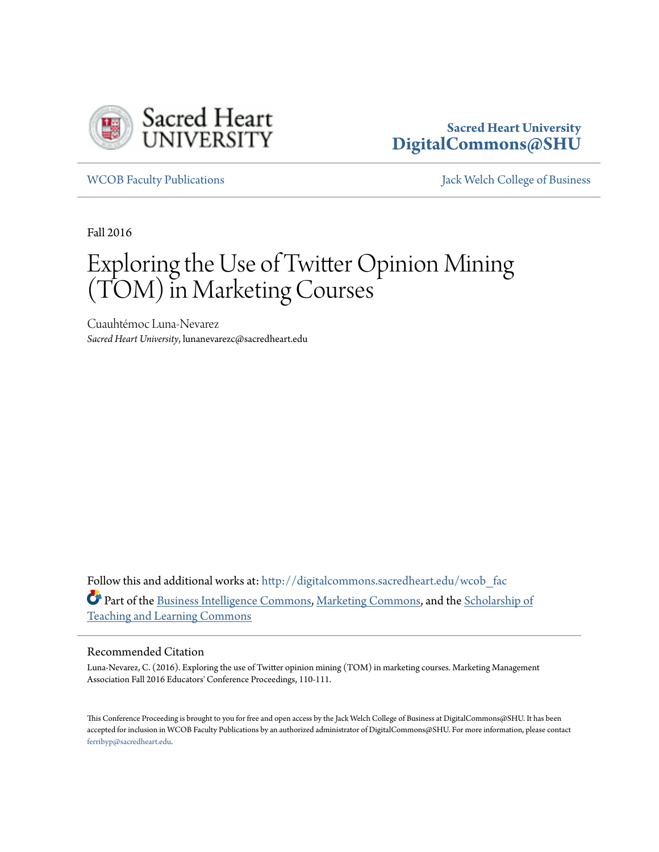

### **Sacred Heart University [DigitalCommons@SHU](http://digitalcommons.sacredheart.edu?utm_source=digitalcommons.sacredheart.edu%2Fwcob_fac%2F419&utm_medium=PDF&utm_campaign=PDFCoverPages)**

[WCOB Faculty Publications](http://digitalcommons.sacredheart.edu/wcob_fac?utm_source=digitalcommons.sacredheart.edu%2Fwcob_fac%2F419&utm_medium=PDF&utm_campaign=PDFCoverPages) [Jack Welch College of Business](http://digitalcommons.sacredheart.edu/wcob?utm_source=digitalcommons.sacredheart.edu%2Fwcob_fac%2F419&utm_medium=PDF&utm_campaign=PDFCoverPages)

Fall 2016

# Exploring the Use of Twitter Opinion Mining (TOM) in Marketing Courses

Cuauhtémoc Luna-Nevarez *Sacred Heart University*, lunanevarezc@sacredheart.edu

Follow this and additional works at: [http://digitalcommons.sacredheart.edu/wcob\\_fac](http://digitalcommons.sacredheart.edu/wcob_fac?utm_source=digitalcommons.sacredheart.edu%2Fwcob_fac%2F419&utm_medium=PDF&utm_campaign=PDFCoverPages) Part of the [Business Intelligence Commons](http://network.bepress.com/hgg/discipline/1326?utm_source=digitalcommons.sacredheart.edu%2Fwcob_fac%2F419&utm_medium=PDF&utm_campaign=PDFCoverPages), [Marketing Commons,](http://network.bepress.com/hgg/discipline/638?utm_source=digitalcommons.sacredheart.edu%2Fwcob_fac%2F419&utm_medium=PDF&utm_campaign=PDFCoverPages) and the [Scholarship of](http://network.bepress.com/hgg/discipline/1328?utm_source=digitalcommons.sacredheart.edu%2Fwcob_fac%2F419&utm_medium=PDF&utm_campaign=PDFCoverPages) [Teaching and Learning Commons](http://network.bepress.com/hgg/discipline/1328?utm_source=digitalcommons.sacredheart.edu%2Fwcob_fac%2F419&utm_medium=PDF&utm_campaign=PDFCoverPages)

### Recommended Citation

Luna-Nevarez, C. (2016). Exploring the use of Twitter opinion mining (TOM) in marketing courses. Marketing Management Association Fall 2016 Educators' Conference Proceedings, 110-111.

This Conference Proceeding is brought to you for free and open access by the Jack Welch College of Business at DigitalCommons@SHU. It has been accepted for inclusion in WCOB Faculty Publications by an authorized administrator of DigitalCommons@SHU. For more information, please contact [ferribyp@sacredheart.edu](mailto:ferribyp@sacredheart.edu).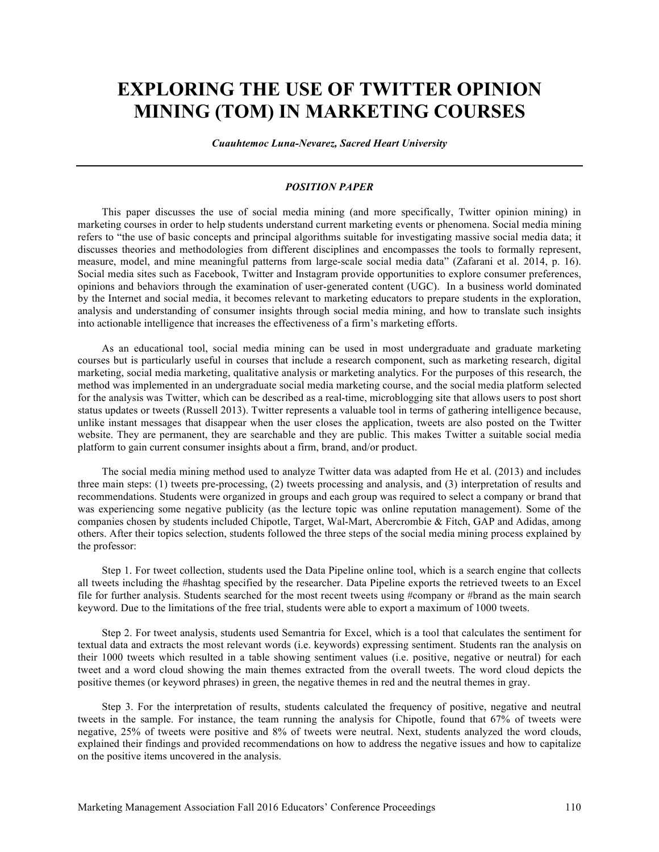## **EXPLORING THE USE OF TWITTER OPINION MINING (TOM) IN MARKETING COURSES**

*Cuauhtemoc Luna-Nevarez, Sacred Heart University*

#### *POSITION PAPER*

This paper discusses the use of social media mining (and more specifically, Twitter opinion mining) in marketing courses in order to help students understand current marketing events or phenomena. Social media mining refers to "the use of basic concepts and principal algorithms suitable for investigating massive social media data; it discusses theories and methodologies from different disciplines and encompasses the tools to formally represent, measure, model, and mine meaningful patterns from large-scale social media data" (Zafarani et al. 2014, p. 16). Social media sites such as Facebook, Twitter and Instagram provide opportunities to explore consumer preferences, opinions and behaviors through the examination of user-generated content (UGC). In a business world dominated by the Internet and social media, it becomes relevant to marketing educators to prepare students in the exploration, analysis and understanding of consumer insights through social media mining, and how to translate such insights into actionable intelligence that increases the effectiveness of a firm's marketing efforts.

As an educational tool, social media mining can be used in most undergraduate and graduate marketing courses but is particularly useful in courses that include a research component, such as marketing research, digital marketing, social media marketing, qualitative analysis or marketing analytics. For the purposes of this research, the method was implemented in an undergraduate social media marketing course, and the social media platform selected for the analysis was Twitter, which can be described as a real-time, microblogging site that allows users to post short status updates or tweets (Russell 2013). Twitter represents a valuable tool in terms of gathering intelligence because, unlike instant messages that disappear when the user closes the application, tweets are also posted on the Twitter website. They are permanent, they are searchable and they are public. This makes Twitter a suitable social media platform to gain current consumer insights about a firm, brand, and/or product.

The social media mining method used to analyze Twitter data was adapted from He et al. (2013) and includes three main steps: (1) tweets pre-processing, (2) tweets processing and analysis, and (3) interpretation of results and recommendations. Students were organized in groups and each group was required to select a company or brand that was experiencing some negative publicity (as the lecture topic was online reputation management). Some of the companies chosen by students included Chipotle, Target, Wal-Mart, Abercrombie & Fitch, GAP and Adidas, among others. After their topics selection, students followed the three steps of the social media mining process explained by the professor:

Step 1. For tweet collection, students used the Data Pipeline online tool, which is a search engine that collects all tweets including the #hashtag specified by the researcher. Data Pipeline exports the retrieved tweets to an Excel file for further analysis. Students searched for the most recent tweets using #company or #brand as the main search keyword. Due to the limitations of the free trial, students were able to export a maximum of 1000 tweets.

Step 2. For tweet analysis, students used Semantria for Excel, which is a tool that calculates the sentiment for textual data and extracts the most relevant words (i.e. keywords) expressing sentiment. Students ran the analysis on their 1000 tweets which resulted in a table showing sentiment values (i.e. positive, negative or neutral) for each tweet and a word cloud showing the main themes extracted from the overall tweets. The word cloud depicts the positive themes (or keyword phrases) in green, the negative themes in red and the neutral themes in gray.

Step 3. For the interpretation of results, students calculated the frequency of positive, negative and neutral tweets in the sample. For instance, the team running the analysis for Chipotle, found that 67% of tweets were negative, 25% of tweets were positive and 8% of tweets were neutral. Next, students analyzed the word clouds, explained their findings and provided recommendations on how to address the negative issues and how to capitalize on the positive items uncovered in the analysis.